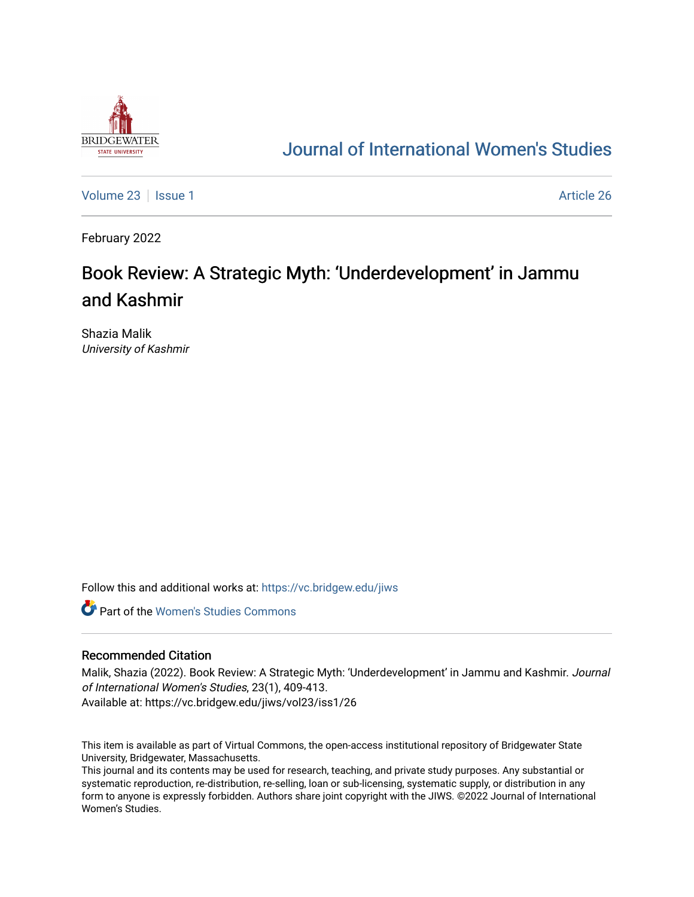

## [Journal of International Women's Studies](https://vc.bridgew.edu/jiws)

[Volume 23](https://vc.bridgew.edu/jiws/vol23) | [Issue 1](https://vc.bridgew.edu/jiws/vol23/iss1) Article 26

February 2022

# Book Review: A Strategic Myth: 'Underdevelopment' in Jammu and Kashmir

Shazia Malik University of Kashmir

Follow this and additional works at: [https://vc.bridgew.edu/jiws](https://vc.bridgew.edu/jiws?utm_source=vc.bridgew.edu%2Fjiws%2Fvol23%2Fiss1%2F26&utm_medium=PDF&utm_campaign=PDFCoverPages)

**C** Part of the Women's Studies Commons

#### Recommended Citation

Malik, Shazia (2022). Book Review: A Strategic Myth: 'Underdevelopment' in Jammu and Kashmir. Journal of International Women's Studies, 23(1), 409-413. Available at: https://vc.bridgew.edu/jiws/vol23/iss1/26

This item is available as part of Virtual Commons, the open-access institutional repository of Bridgewater State University, Bridgewater, Massachusetts.

This journal and its contents may be used for research, teaching, and private study purposes. Any substantial or systematic reproduction, re-distribution, re-selling, loan or sub-licensing, systematic supply, or distribution in any form to anyone is expressly forbidden. Authors share joint copyright with the JIWS. ©2022 Journal of International Women's Studies.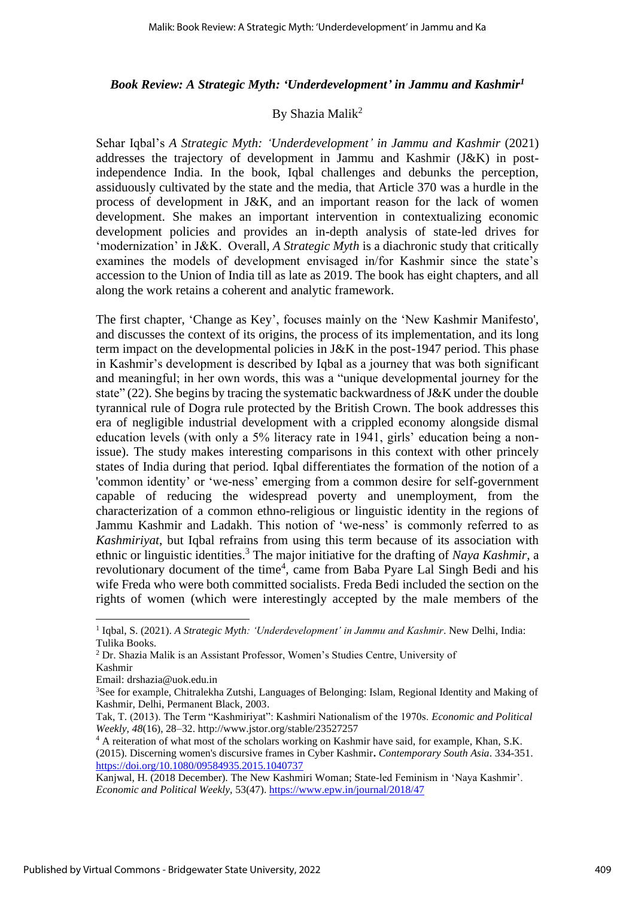### *Book Review: A Strategic Myth: 'Underdevelopment' in Jammu and Kashmir<sup>1</sup>*

## By Shazia Malik<sup>2</sup>

Sehar Iqbal's *A Strategic Myth: 'Underdevelopment' in Jammu and Kashmir* (2021) addresses the trajectory of development in Jammu and Kashmir (J&K) in postindependence India. In the book, Iqbal challenges and debunks the perception, assiduously cultivated by the state and the media, that Article 370 was a hurdle in the process of development in J&K, and an important reason for the lack of women development. She makes an important intervention in contextualizing economic development policies and provides an in-depth analysis of state-led drives for 'modernization' in J&K. Overall, *A Strategic Myth* is a diachronic study that critically examines the models of development envisaged in/for Kashmir since the state's accession to the Union of India till as late as 2019. The book has eight chapters, and all along the work retains a coherent and analytic framework.

The first chapter, 'Change as Key', focuses mainly on the 'New Kashmir Manifesto', and discusses the context of its origins, the process of its implementation, and its long term impact on the developmental policies in J&K in the post-1947 period. This phase in Kashmir's development is described by Iqbal as a journey that was both significant and meaningful; in her own words, this was a "unique developmental journey for the state" (22). She begins by tracing the systematic backwardness of J&K under the double tyrannical rule of Dogra rule protected by the British Crown. The book addresses this era of negligible industrial development with a crippled economy alongside dismal education levels (with only a 5% literacy rate in 1941, girls' education being a nonissue). The study makes interesting comparisons in this context with other princely states of India during that period. Iqbal differentiates the formation of the notion of a 'common identity' or 'we-ness' emerging from a common desire for self-government capable of reducing the widespread poverty and unemployment, from the characterization of a common ethno-religious or linguistic identity in the regions of Jammu Kashmir and Ladakh. This notion of 'we-ness' is commonly referred to as *Kashmiriyat*, but Iqbal refrains from using this term because of its association with ethnic or linguistic identities.<sup>3</sup> The major initiative for the drafting of *Naya Kashmir*, a revolutionary document of the time<sup>4</sup>, came from Baba Pyare Lal Singh Bedi and his wife Freda who were both committed socialists. Freda Bedi included the section on the rights of women (which were interestingly accepted by the male members of the

Kashmir

Email: drshazia@uok.edu.in

<sup>&</sup>lt;sup>1</sup> Iqbal, S. (2021). *A Strategic Myth: 'Underdevelopment' in Jammu and Kashmir*. New Delhi, India: Tulika Books.

<sup>2</sup> Dr. Shazia Malik is an Assistant Professor, Women's Studies Centre, University of

<sup>3</sup>See for example, Chitralekha Zutshi, Languages of Belonging: Islam, Regional Identity and Making of Kashmir, Delhi, Permanent Black, 2003.

Tak, T. (2013). The Term "Kashmiriyat": Kashmiri Nationalism of the 1970s. *Economic and Political Weekly*, *48*(16), 28–32. http://www.jstor.org/stable/23527257

<sup>4</sup> A reiteration of what most of the scholars working on Kashmir have said, for example, Khan, S.K. (2015). Discerning women's discursive frames in Cyber Kashmir**.** *Contemporary South Asia*. 334-351. <https://doi.org/10.1080/09584935.2015.1040737>

Kanjwal, H. (2018 December). The New Kashmiri Woman; State-led Feminism in 'Naya Kashmir'. *Economic and Political Weekly,* 53(47)[. https://www.epw.in/journal/2018/47](https://www.epw.in/journal/2018/47)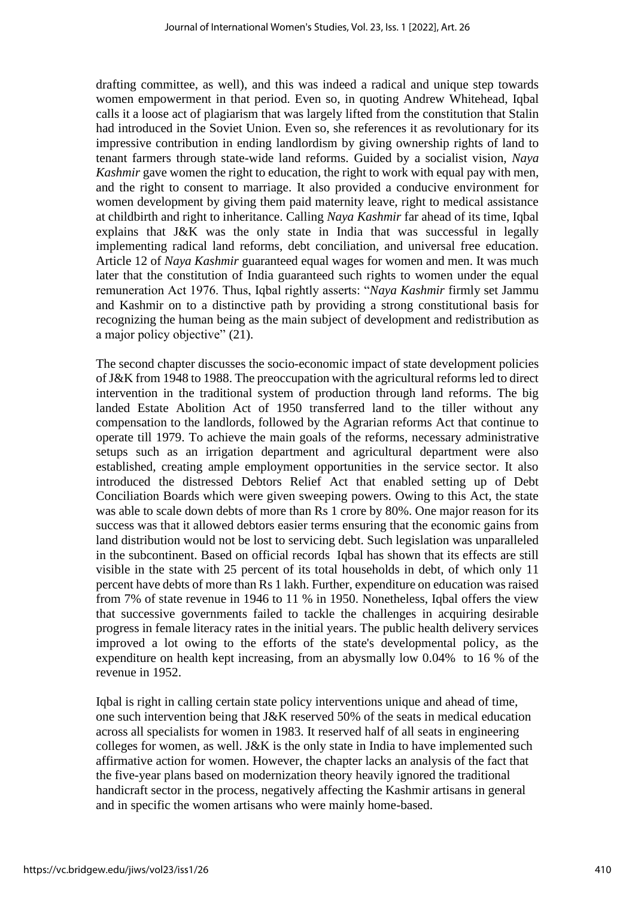drafting committee, as well), and this was indeed a radical and unique step towards women empowerment in that period. Even so, in quoting Andrew Whitehead, Iqbal calls it a loose act of plagiarism that was largely lifted from the constitution that Stalin had introduced in the Soviet Union. Even so, she references it as revolutionary for its impressive contribution in ending landlordism by giving ownership rights of land to tenant farmers through state-wide land reforms. Guided by a socialist vision, *Naya Kashmir* gave women the right to education, the right to work with equal pay with men, and the right to consent to marriage. It also provided a conducive environment for women development by giving them paid maternity leave, right to medical assistance at childbirth and right to inheritance. Calling *Naya Kashmir* far ahead of its time, Iqbal explains that J&K was the only state in India that was successful in legally implementing radical land reforms, debt conciliation, and universal free education. Article 12 of *Naya Kashmir* guaranteed equal wages for women and men. It was much later that the constitution of India guaranteed such rights to women under the equal remuneration Act 1976. Thus, Iqbal rightly asserts: "*Naya Kashmir* firmly set Jammu and Kashmir on to a distinctive path by providing a strong constitutional basis for recognizing the human being as the main subject of development and redistribution as a major policy objective" (21).

The second chapter discusses the socio-economic impact of state development policies of J&K from 1948 to 1988. The preoccupation with the agricultural reforms led to direct intervention in the traditional system of production through land reforms. The big landed Estate Abolition Act of 1950 transferred land to the tiller without any compensation to the landlords, followed by the Agrarian reforms Act that continue to operate till 1979. To achieve the main goals of the reforms, necessary administrative setups such as an irrigation department and agricultural department were also established, creating ample employment opportunities in the service sector. It also introduced the distressed Debtors Relief Act that enabled setting up of Debt Conciliation Boards which were given sweeping powers. Owing to this Act, the state was able to scale down debts of more than Rs 1 crore by 80%. One major reason for its success was that it allowed debtors easier terms ensuring that the economic gains from land distribution would not be lost to servicing debt. Such legislation was unparalleled in the subcontinent. Based on official records Iqbal has shown that its effects are still visible in the state with 25 percent of its total households in debt, of which only 11 percent have debts of more than Rs 1 lakh. Further, expenditure on education was raised from 7% of state revenue in 1946 to 11 % in 1950. Nonetheless, Iqbal offers the view that successive governments failed to tackle the challenges in acquiring desirable progress in female literacy rates in the initial years. The public health delivery services improved a lot owing to the efforts of the state's developmental policy, as the expenditure on health kept increasing, from an abysmally low 0.04% to 16 % of the revenue in 1952.

Iqbal is right in calling certain state policy interventions unique and ahead of time, one such intervention being that J&K reserved 50% of the seats in medical education across all specialists for women in 1983. It reserved half of all seats in engineering colleges for women, as well. J&K is the only state in India to have implemented such affirmative action for women. However, the chapter lacks an analysis of the fact that the five-year plans based on modernization theory heavily ignored the traditional handicraft sector in the process, negatively affecting the Kashmir artisans in general and in specific the women artisans who were mainly home-based.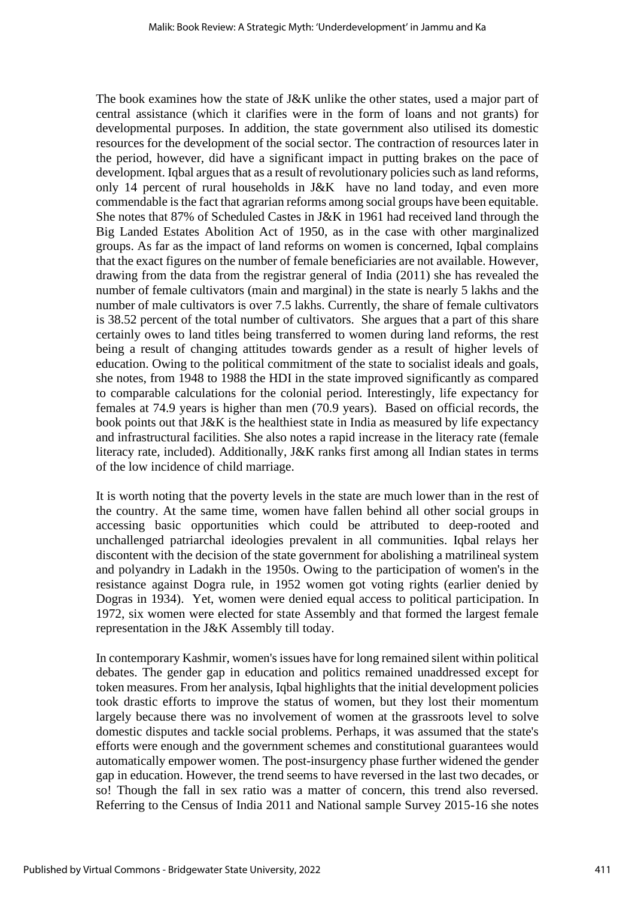The book examines how the state of J&K unlike the other states, used a major part of central assistance (which it clarifies were in the form of loans and not grants) for developmental purposes. In addition, the state government also utilised its domestic resources for the development of the social sector. The contraction of resources later in the period, however, did have a significant impact in putting brakes on the pace of development. Igbal argues that as a result of revolutionary policies such as land reforms, only 14 percent of rural households in J&K have no land today, and even more commendable is the fact that agrarian reforms among social groups have been equitable. She notes that 87% of Scheduled Castes in J&K in 1961 had received land through the Big Landed Estates Abolition Act of 1950, as in the case with other marginalized groups. As far as the impact of land reforms on women is concerned, Iqbal complains that the exact figures on the number of female beneficiaries are not available. However, drawing from the data from the registrar general of India (2011) she has revealed the number of female cultivators (main and marginal) in the state is nearly 5 lakhs and the number of male cultivators is over 7.5 lakhs. Currently, the share of female cultivators is 38.52 percent of the total number of cultivators. She argues that a part of this share certainly owes to land titles being transferred to women during land reforms, the rest being a result of changing attitudes towards gender as a result of higher levels of education. Owing to the political commitment of the state to socialist ideals and goals, she notes, from 1948 to 1988 the HDI in the state improved significantly as compared to comparable calculations for the colonial period. Interestingly, life expectancy for females at 74.9 years is higher than men (70.9 years). Based on official records, the book points out that J&K is the healthiest state in India as measured by life expectancy and infrastructural facilities. She also notes a rapid increase in the literacy rate (female literacy rate, included). Additionally, J&K ranks first among all Indian states in terms of the low incidence of child marriage.

It is worth noting that the poverty levels in the state are much lower than in the rest of the country. At the same time, women have fallen behind all other social groups in accessing basic opportunities which could be attributed to deep-rooted and unchallenged patriarchal ideologies prevalent in all communities. Iqbal relays her discontent with the decision of the state government for abolishing a matrilineal system and polyandry in Ladakh in the 1950s. Owing to the participation of women's in the resistance against Dogra rule, in 1952 women got voting rights (earlier denied by Dogras in 1934). Yet, women were denied equal access to political participation. In 1972, six women were elected for state Assembly and that formed the largest female representation in the J&K Assembly till today.

In contemporary Kashmir, women's issues have for long remained silent within political debates. The gender gap in education and politics remained unaddressed except for token measures. From her analysis, Iqbal highlights that the initial development policies took drastic efforts to improve the status of women, but they lost their momentum largely because there was no involvement of women at the grassroots level to solve domestic disputes and tackle social problems. Perhaps, it was assumed that the state's efforts were enough and the government schemes and constitutional guarantees would automatically empower women. The post-insurgency phase further widened the gender gap in education. However, the trend seems to have reversed in the last two decades, or so! Though the fall in sex ratio was a matter of concern, this trend also reversed. Referring to the Census of India 2011 and National sample Survey 2015-16 she notes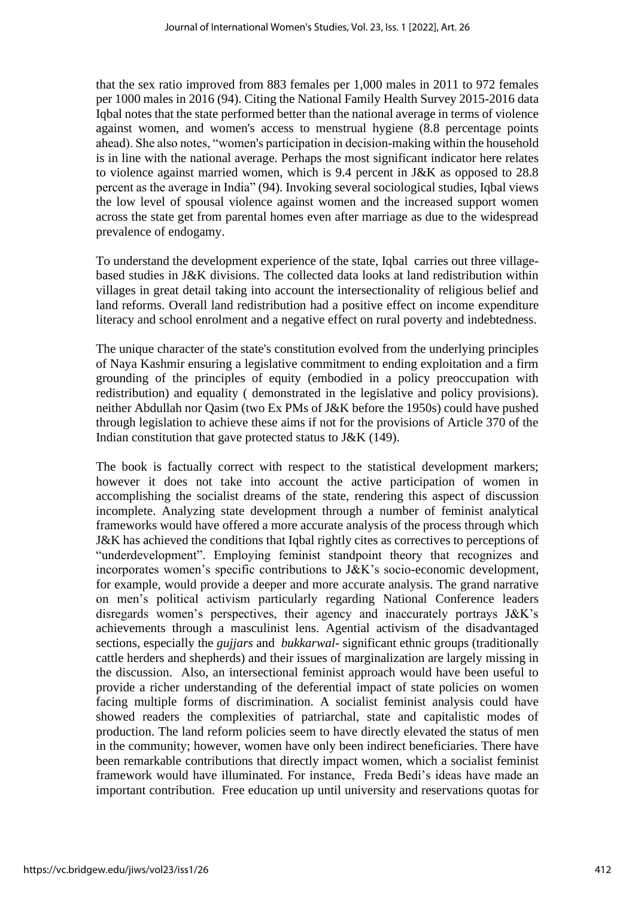that the sex ratio improved from 883 females per 1,000 males in 2011 to 972 females per 1000 males in 2016 (94). Citing the National Family Health Survey 2015-2016 data Iqbal notes that the state performed better than the national average in terms of violence against women, and women's access to menstrual hygiene (8.8 percentage points ahead). She also notes, "women's participation in decision-making within the household is in line with the national average. Perhaps the most significant indicator here relates to violence against married women, which is 9.4 percent in J&K as opposed to 28.8 percent as the average in India" (94). Invoking several sociological studies, Iqbal views the low level of spousal violence against women and the increased support women across the state get from parental homes even after marriage as due to the widespread prevalence of endogamy.

To understand the development experience of the state, Iqbal carries out three villagebased studies in J&K divisions. The collected data looks at land redistribution within villages in great detail taking into account the intersectionality of religious belief and land reforms. Overall land redistribution had a positive effect on income expenditure literacy and school enrolment and a negative effect on rural poverty and indebtedness.

The unique character of the state's constitution evolved from the underlying principles of Naya Kashmir ensuring a legislative commitment to ending exploitation and a firm grounding of the principles of equity (embodied in a policy preoccupation with redistribution) and equality ( demonstrated in the legislative and policy provisions). neither Abdullah nor Qasim (two Ex PMs of J&K before the 1950s) could have pushed through legislation to achieve these aims if not for the provisions of Article 370 of the Indian constitution that gave protected status to J&K (149).

The book is factually correct with respect to the statistical development markers; however it does not take into account the active participation of women in accomplishing the socialist dreams of the state, rendering this aspect of discussion incomplete. Analyzing state development through a number of feminist analytical frameworks would have offered a more accurate analysis of the process through which J&K has achieved the conditions that Iqbal rightly cites as correctives to perceptions of "underdevelopment". Employing feminist standpoint theory that recognizes and incorporates women's specific contributions to J&K's socio-economic development, for example, would provide a deeper and more accurate analysis. The grand narrative on men's political activism particularly regarding National Conference leaders disregards women's perspectives, their agency and inaccurately portrays J&K's achievements through a masculinist lens. Agential activism of the disadvantaged sections, especially the *gujjars* and *bukkarwal-* significant ethnic groups (traditionally cattle herders and shepherds) and their issues of marginalization are largely missing in the discussion. Also, an intersectional feminist approach would have been useful to provide a richer understanding of the deferential impact of state policies on women facing multiple forms of discrimination. A socialist feminist analysis could have showed readers the complexities of patriarchal, state and capitalistic modes of production. The land reform policies seem to have directly elevated the status of men in the community; however, women have only been indirect beneficiaries. There have been remarkable contributions that directly impact women, which a socialist feminist framework would have illuminated. For instance, Freda Bedi's ideas have made an important contribution. Free education up until university and reservations quotas for